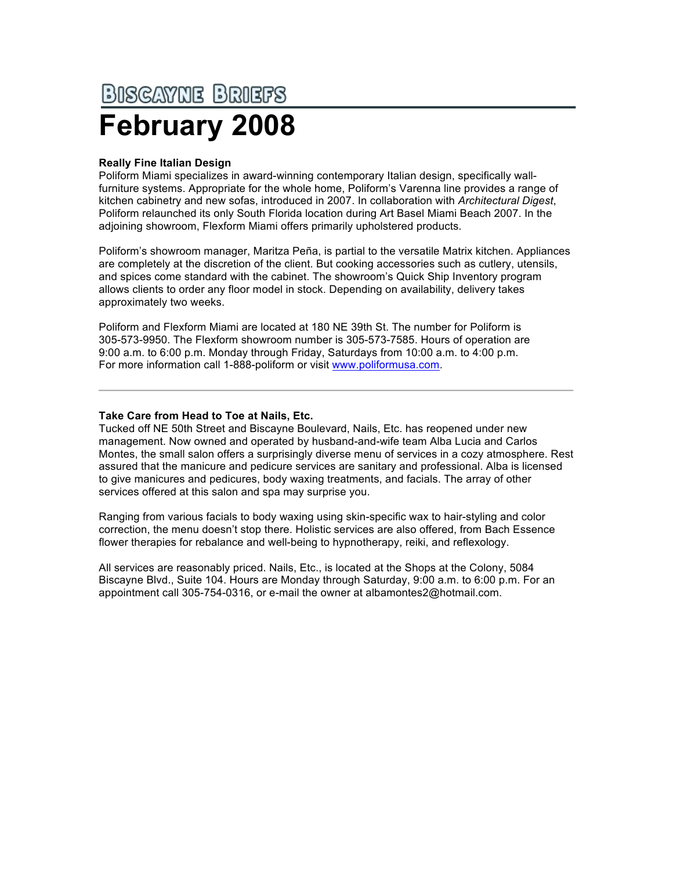## **BISCAYNE BRIEFS February 2008**

## **Really Fine Italian Design**

Poliform Miami specializes in award-winning contemporary Italian design, specifically wallfurniture systems. Appropriate for the whole home, Poliform's Varenna line provides a range of kitchen cabinetry and new sofas, introduced in 2007. In collaboration with *Architectural Digest*, Poliform relaunched its only South Florida location during Art Basel Miami Beach 2007. In the adjoining showroom, Flexform Miami offers primarily upholstered products.

Poliform's showroom manager, Maritza Peña, is partial to the versatile Matrix kitchen. Appliances are completely at the discretion of the client. But cooking accessories such as cutlery, utensils, and spices come standard with the cabinet. The showroom's Quick Ship Inventory program allows clients to order any floor model in stock. Depending on availability, delivery takes approximately two weeks.

Poliform and Flexform Miami are located at 180 NE 39th St. The number for Poliform is 305-573-9950. The Flexform showroom number is 305-573-7585. Hours of operation are 9:00 a.m. to 6:00 p.m. Monday through Friday, Saturdays from 10:00 a.m. to 4:00 p.m. For more information call 1-888-poliform or visit www.poliformusa.com.

## **Take Care from Head to Toe at Nails, Etc.**

Tucked off NE 50th Street and Biscayne Boulevard, Nails, Etc. has reopened under new management. Now owned and operated by husband-and-wife team Alba Lucia and Carlos Montes, the small salon offers a surprisingly diverse menu of services in a cozy atmosphere. Rest assured that the manicure and pedicure services are sanitary and professional. Alba is licensed to give manicures and pedicures, body waxing treatments, and facials. The array of other services offered at this salon and spa may surprise you.

Ranging from various facials to body waxing using skin-specific wax to hair-styling and color correction, the menu doesn't stop there. Holistic services are also offered, from Bach Essence flower therapies for rebalance and well-being to hypnotherapy, reiki, and reflexology.

All services are reasonably priced. Nails, Etc., is located at the Shops at the Colony, 5084 Biscayne Blvd., Suite 104. Hours are Monday through Saturday, 9:00 a.m. to 6:00 p.m. For an appointment call 305-754-0316, or e-mail the owner at albamontes2@hotmail.com.